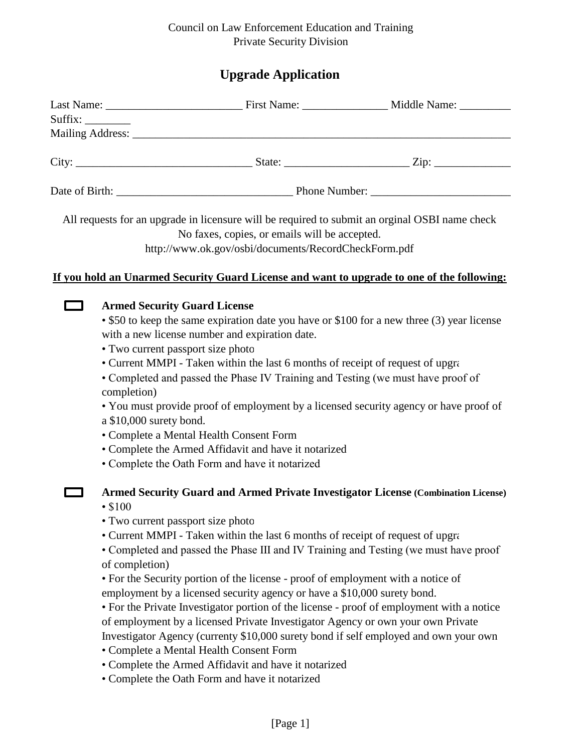# Council on Law Enforcement Education and Training Private Security Division

# **Upgrade Application**

| Suffix: |                                                                                                                                                                                                                 |                                                                                                                                                                                                                                                                                                                                                                                           |                                                                                                                                                                                                                                                                                                                                                                |
|---------|-----------------------------------------------------------------------------------------------------------------------------------------------------------------------------------------------------------------|-------------------------------------------------------------------------------------------------------------------------------------------------------------------------------------------------------------------------------------------------------------------------------------------------------------------------------------------------------------------------------------------|----------------------------------------------------------------------------------------------------------------------------------------------------------------------------------------------------------------------------------------------------------------------------------------------------------------------------------------------------------------|
|         |                                                                                                                                                                                                                 |                                                                                                                                                                                                                                                                                                                                                                                           |                                                                                                                                                                                                                                                                                                                                                                |
|         |                                                                                                                                                                                                                 |                                                                                                                                                                                                                                                                                                                                                                                           |                                                                                                                                                                                                                                                                                                                                                                |
|         |                                                                                                                                                                                                                 |                                                                                                                                                                                                                                                                                                                                                                                           |                                                                                                                                                                                                                                                                                                                                                                |
|         |                                                                                                                                                                                                                 | No faxes, copies, or emails will be accepted.<br>http://www.ok.gov/osbi/documents/RecordCheckForm.pdf                                                                                                                                                                                                                                                                                     | All requests for an upgrade in licensure will be required to submit an orginal OSBI name check                                                                                                                                                                                                                                                                 |
|         |                                                                                                                                                                                                                 |                                                                                                                                                                                                                                                                                                                                                                                           | If you hold an Unarmed Security Guard License and want to upgrade to one of the following:                                                                                                                                                                                                                                                                     |
|         | <b>Armed Security Guard License</b><br>with a new license number and expiration date.<br>• Two current passport size photo<br>completion)<br>a \$10,000 surety bond.<br>• Complete a Mental Health Consent Form | • Current MMPI - Taken within the last 6 months of receipt of request of upgra<br>• Complete the Armed Affidavit and have it notarized<br>• Complete the Oath Form and have it notarized                                                                                                                                                                                                  | • \$50 to keep the same expiration date you have or \$100 for a new three (3) year license<br>• Completed and passed the Phase IV Training and Testing (we must have proof of<br>• You must provide proof of employment by a licensed security agency or have proof of                                                                                         |
|         | • 100<br>• Two current passport size photo<br>of completion)<br>• Complete a Mental Health Consent Form                                                                                                         | • Current MMPI - Taken within the last 6 months of receipt of request of upgra<br>• For the Security portion of the license - proof of employment with a notice of<br>employment by a licensed security agency or have a \$10,000 surety bond.<br>of employment by a licensed Private Investigator Agency or own your own Private<br>• Complete the Armed Affidavit and have it notarized | Armed Security Guard and Armed Private Investigator License (Combination License)<br>• Completed and passed the Phase III and IV Training and Testing (we must have proof<br>• For the Private Investigator portion of the license - proof of employment with a notice<br>Investigator Agency (currenty \$10,000 surety bond if self employed and own your own |

• Complete the Oath Form and have it notarized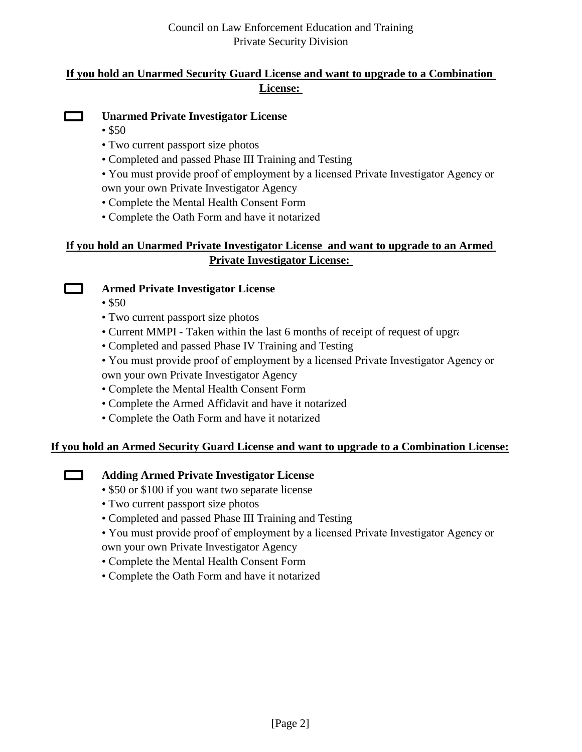# **If you hold an Unarmed Security Guard License and want to upgrade to a Combination License:**



# **Unarmed Private Investigator License**

- \$50
- Two current passport size photos
- Completed and passed Phase III Training and Testing
- You must provide proof of employment by a licensed Private Investigator Agency or own your own Private Investigator Agency
- Complete the Mental Health Consent Form
- Complete the Oath Form and have it notarized

# **If you hold an Unarmed Private Investigator License and want to upgrade to an Armed Private Investigator License:**



 $\Box$ 

# **Armed Private Investigator License**

- $$50$
- Two current passport size photos
- Current MMPI Taken within the last 6 months of receipt of request of upgrade
- Completed and passed Phase IV Training and Testing
- You must provide proof of employment by a licensed Private Investigator Agency or

own your own Private Investigator Agency

- Complete the Mental Health Consent Form
- Complete the Armed Affidavit and have it notarized
- Complete the Oath Form and have it notarized

# **If you hold an Armed Security Guard License and want to upgrade to a Combination License:**

# **Adding Armed Private Investigator License**

- \$50 or \$100 if you want two separate license
- Two current passport size photos
- Completed and passed Phase III Training and Testing
- You must provide proof of employment by a licensed Private Investigator Agency or own your own Private Investigator Agency
- Complete the Mental Health Consent Form
- Complete the Oath Form and have it notarized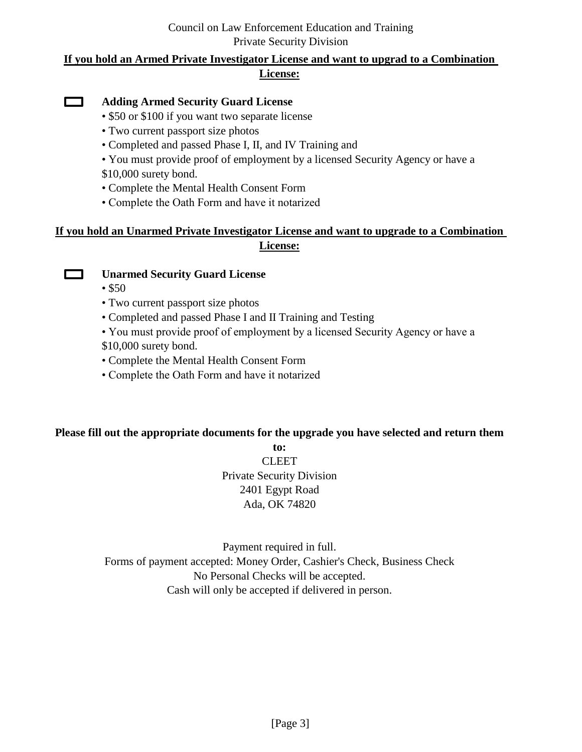# Council on Law Enforcement Education and Training Private Security Division

# **If you hold an Armed Private Investigator License and want to upgrad to a Combination License:**

#### $\Box$ **Adding Armed Security Guard License**

- \$50 or \$100 if you want two separate license
- Two current passport size photos
- Completed and passed Phase I, II, and IV Training and
- You must provide proof of employment by a licensed Security Agency or have a \$10,000 surety bond.
- Complete the Mental Health Consent Form
- Complete the Oath Form and have it notarized

# **If you hold an Unarmed Private Investigator License and want to upgrade to a Combination License:**



# **Unarmed Security Guard License**

- $$50$
- Two current passport size photos
- Completed and passed Phase I and II Training and Testing
- You must provide proof of employment by a licensed Security Agency or have a
- \$10,000 surety bond.
- Complete the Mental Health Consent Form
- Complete the Oath Form and have it notarized

# **Please fill out the appropriate documents for the upgrade you have selected and return them**

**to: CLEET** Private Security Division 2401 Egypt Road Ada, OK 74820

Payment required in full. Forms of payment accepted: Money Order, Cashier's Check, Business Check No Personal Checks will be accepted. Cash will only be accepted if delivered in person.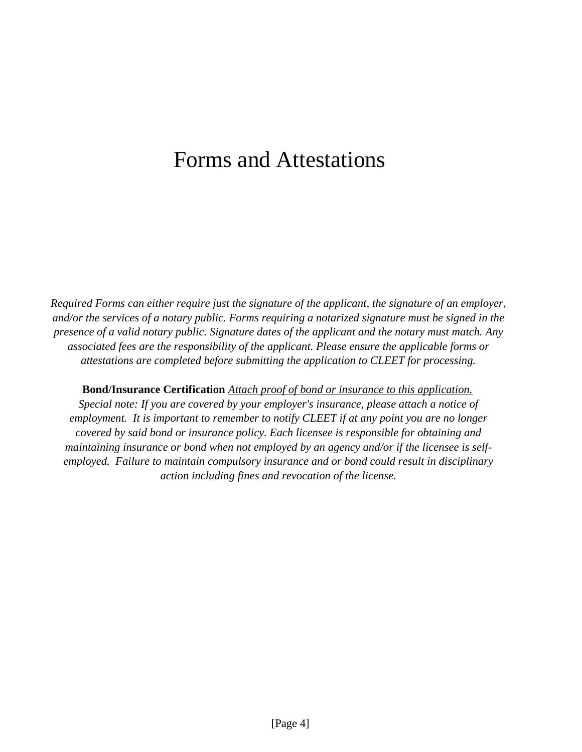# Forms and Attestations

*Required Forms can either require just the signature of the applicant, the signature of an employer, and/or the services of a notary public. Forms requiring a notarized signature must be signed in the presence of a valid notary public. Signature dates of the applicant and the notary must match. Any associated fees are the responsibility of the applicant. Please ensure the applicable forms or attestations are completed before submitting the application to CLEET for processing.*

**Bond/Insurance Certification** *Attach proof of bond or insurance to this application. Special note: If you are covered by your employer's insurance, please attach a notice of employment. It is important to remember to notify CLEET if at any point you are no longer covered by said bond or insurance policy. Each licensee is responsible for obtaining and maintaining insurance or bond when not employed by an agency and/or if the licensee is selfemployed. Failure to maintain compulsory insurance and or bond could result in disciplinary action including fines and revocation of the license.*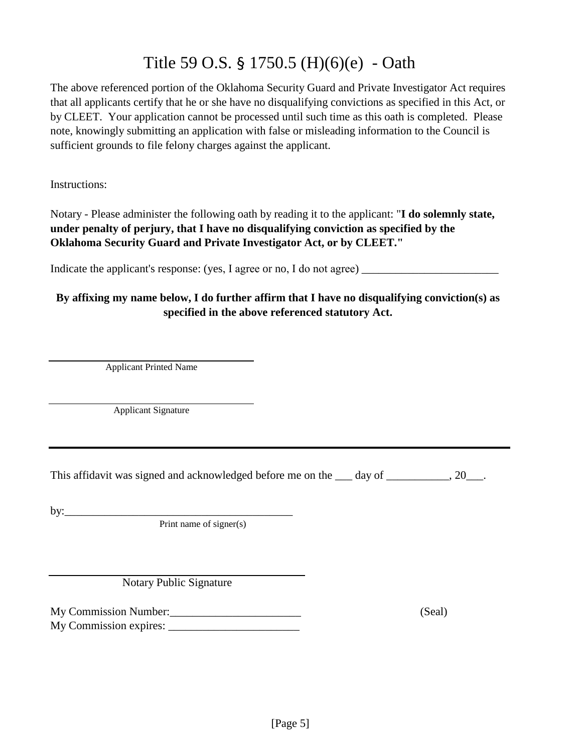# Title 59 O.S. § 1750.5 (H)(6)(e) - Oath

The above referenced portion of the Oklahoma Security Guard and Private Investigator Act requires that all applicants certify that he or she have no disqualifying convictions as specified in this Act, or by CLEET. Your application cannot be processed until such time as this oath is completed. Please note, knowingly submitting an application with false or misleading information to the Council is sufficient grounds to file felony charges against the applicant.

Instructions:

Notary - Please administer the following oath by reading it to the applicant: "**I do solemnly state, under penalty of perjury, that I have no disqualifying conviction as specified by the Oklahoma Security Guard and Private Investigator Act, or by CLEET."**

Indicate the applicant's response: (yes, I agree or no, I do not agree) \_\_\_\_\_\_\_\_\_\_\_\_\_\_\_\_\_\_\_\_\_\_\_\_

# **By affixing my name below, I do further affirm that I have no disqualifying conviction(s) as specified in the above referenced statutory Act.**

Applicant Printed Name

Applicant Signature

This affidavit was signed and acknowledged before me on the day of  $\qquad \qquad .20 \qquad .$ 

by:\_\_\_\_\_\_\_\_\_\_\_\_\_\_\_\_\_\_\_\_\_\_\_\_\_\_\_\_\_\_\_\_\_\_\_\_\_\_\_\_

Print name of signer(s)

Notary Public Signature

My Commission Number:  $(Sed)$ 

My Commission expires: \_\_\_\_\_\_\_\_\_\_\_\_\_\_\_\_\_\_\_\_\_\_\_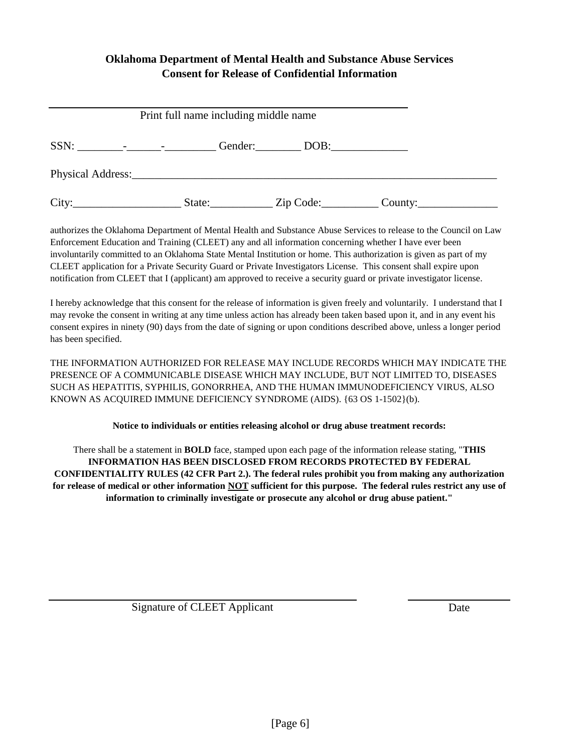# **Oklahoma Department of Mental Health and Substance Abuse Services Consent for Release of Confidential Information**

| Print full name including middle name                                                                                                                                                                                                                                                                                                                                                                                                                                                                                                                                                                                            |        |                |         |  |  |  |
|----------------------------------------------------------------------------------------------------------------------------------------------------------------------------------------------------------------------------------------------------------------------------------------------------------------------------------------------------------------------------------------------------------------------------------------------------------------------------------------------------------------------------------------------------------------------------------------------------------------------------------|--------|----------------|---------|--|--|--|
| $SSN: \underline{\hspace{2cm}} \underline{\hspace{2cm}} \underline{\hspace{2cm}} \underline{\hspace{2cm}} \underline{\hspace{2cm}} \underline{\hspace{2cm}} \underline{\hspace{2cm}} \underline{\hspace{2cm}} \underline{\hspace{2cm}} \underline{\hspace{2cm}} \underline{\hspace{2cm}} \underline{\hspace{2cm}} \underline{\hspace{2cm}} \underline{\hspace{2cm}} \underline{\hspace{2cm}} \underline{\hspace{2cm}} \underline{\hspace{2cm}} \underline{\hspace{2cm}} \underline{\hspace{2cm}} \underline{\hspace{2cm}} \underline{\hspace{2cm}} \underline{\hspace{2cm}} \underline{\hspace{2cm}} \underline{\hspace{2cm}} \$ |        | Gender: DOB:   |         |  |  |  |
|                                                                                                                                                                                                                                                                                                                                                                                                                                                                                                                                                                                                                                  |        |                |         |  |  |  |
| City:<br><u> 1980 - Jan Stein Stein Stein Stein Stein Stein Stein Stein Stein Stein Stein Stein Stein Stein Stein Stein S</u>                                                                                                                                                                                                                                                                                                                                                                                                                                                                                                    | State: | _ Zip Code:___ | County: |  |  |  |

authorizes the Oklahoma Department of Mental Health and Substance Abuse Services to release to the Council on Law Enforcement Education and Training (CLEET) any and all information concerning whether I have ever been involuntarily committed to an Oklahoma State Mental Institution or home. This authorization is given as part of my CLEET application for a Private Security Guard or Private Investigators License. This consent shall expire upon notification from CLEET that I (applicant) am approved to receive a security guard or private investigator license.

I hereby acknowledge that this consent for the release of information is given freely and voluntarily. I understand that I may revoke the consent in writing at any time unless action has already been taken based upon it, and in any event his consent expires in ninety (90) days from the date of signing or upon conditions described above, unless a longer period has been specified.

THE INFORMATION AUTHORIZED FOR RELEASE MAY INCLUDE RECORDS WHICH MAY INDICATE THE PRESENCE OF A COMMUNICABLE DISEASE WHICH MAY INCLUDE, BUT NOT LIMITED TO, DISEASES SUCH AS HEPATITIS, SYPHILIS, GONORRHEA, AND THE HUMAN IMMUNODEFICIENCY VIRUS, ALSO KNOWN AS ACQUIRED IMMUNE DEFICIENCY SYNDROME (AIDS). {63 OS 1-1502}(b).

### **Notice to individuals or entities releasing alcohol or drug abuse treatment records:**

There shall be a statement in **BOLD** face, stamped upon each page of the information release stating, "**THIS INFORMATION HAS BEEN DISCLOSED FROM RECORDS PROTECTED BY FEDERAL CONFIDENTIALITY RULES (42 CFR Part 2.). The federal rules prohibit you from making any authorization for release of medical or other information NOT sufficient for this purpose. The federal rules restrict any use of information to criminally investigate or prosecute any alcohol or drug abuse patient."** 

Signature of CLEET Applicant Date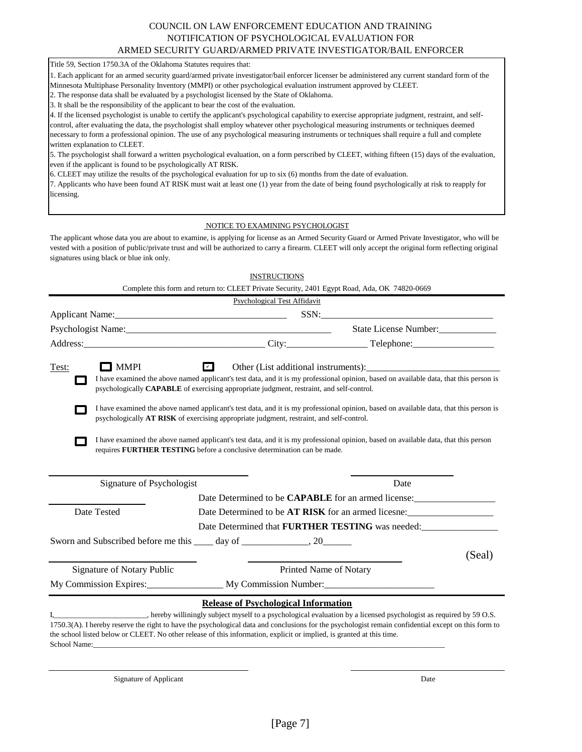#### COUNCIL ON LAW ENFORCEMENT EDUCATION AND TRAINING NOTIFICATION OF PSYCHOLOGICAL EVALUATION FOR ARMED SECURITY GUARD/ARMED PRIVATE INVESTIGATOR/BAIL ENFORCER

Title 59, Section 1750.3A of the Oklahoma Statutes requires that:

1. Each applicant for an armed security guard/armed private investigator/bail enforcer licenser be administered any current standard form of the Minnesota Multiphase Personality Inventory (MMPI) or other psychological evaluation instrument approved by CLEET.

2. The response data shall be evaluated by a psychologist licensed by the State of Oklahoma.

3. It shall be the responsibility of the applicant to bear the cost of the evaluation.

4. If the licensed psychologist is unable to certify the applicant's psychological capability to exercise appropriate judgment, restraint, and selfcontrol, after evaluating the data, the psychologist shall employ whatever other psychological measuring instruments or techniques deemed necessary to form a professional opinion. The use of any psychological measuring instruments or techniques shall require a full and complete written explanation to CLEET.

5. The psychologist shall forward a written psychological evaluation, on a form perscribed by CLEET, withing fifteen (15) days of the evaluation, even if the applicant is found to be psychologically AT RISK.

6. CLEET may utilize the results of the psychological evaluation for up to six (6) months from the date of evaluation.

7. Applicants who have been found AT RISK must wait at least one (1) year from the date of being found psychologically at risk to reapply for licensing.

#### NOTICE TO EXAMINING PSYCHOLOGIST

The applicant whose data you are about to examine, is applying for license as an Armed Security Guard or Armed Private Investigator, who will be vested with a position of public/private trust and will be authorized to carry a firearm. CLEET will only accept the original form reflecting original signatures using black or blue ink only.

|                                   | <b>INSTRUCTIONS</b>                                                                                                   |                                                                                                                                                      |  |
|-----------------------------------|-----------------------------------------------------------------------------------------------------------------------|------------------------------------------------------------------------------------------------------------------------------------------------------|--|
|                                   | Complete this form and return to: CLEET Private Security, 2401 Egypt Road, Ada, OK 74820-0669                         |                                                                                                                                                      |  |
|                                   | Psychological Test Affidavit                                                                                          |                                                                                                                                                      |  |
|                                   |                                                                                                                       | SSN: Samman and the same state of the same state of the same state of the same state of the same state of the s                                      |  |
|                                   |                                                                                                                       | State License Number:                                                                                                                                |  |
|                                   |                                                                                                                       |                                                                                                                                                      |  |
| $\Box$ MMPI<br>Test:              | $\overline{r}$                                                                                                        |                                                                                                                                                      |  |
|                                   | psychologically CAPABLE of exercising appropriate judgment, restraint, and self-control.                              | I have examined the above named applicant's test data, and it is my professional opinion, based on available data, that this person is               |  |
|                                   | psychologically AT RISK of exercising appropriate judgment, restraint, and self-control.                              | I have examined the above named applicant's test data, and it is my professional opinion, based on available data, that this person is               |  |
|                                   | requires FURTHER TESTING before a conclusive determination can be made.                                               | I have examined the above named applicant's test data, and it is my professional opinion, based on available data, that this person                  |  |
| Signature of Psychologist         |                                                                                                                       | Date                                                                                                                                                 |  |
|                                   |                                                                                                                       |                                                                                                                                                      |  |
| Date Tested                       |                                                                                                                       | Date Determined to be AT RISK for an armed licesne:                                                                                                  |  |
|                                   |                                                                                                                       | Date Determined that FURTHER TESTING was needed:                                                                                                     |  |
|                                   | Sworn and Subscribed before me this _____ day of _______________, 20____________                                      |                                                                                                                                                      |  |
|                                   |                                                                                                                       | (Seal)                                                                                                                                               |  |
| <b>Signature of Notary Public</b> |                                                                                                                       | Printed Name of Notary                                                                                                                               |  |
|                                   | My Commission Expires: My Commission Number:                                                                          |                                                                                                                                                      |  |
|                                   | <b>Release of Psychological Information</b>                                                                           |                                                                                                                                                      |  |
|                                   | the school listed below or CLEET. No other release of this information, explicit or implied, is granted at this time. | 1750.3(A). I hereby reserve the right to have the psychological data and conclusions for the psychologist remain confidential except on this form to |  |

Signature of Applicant Date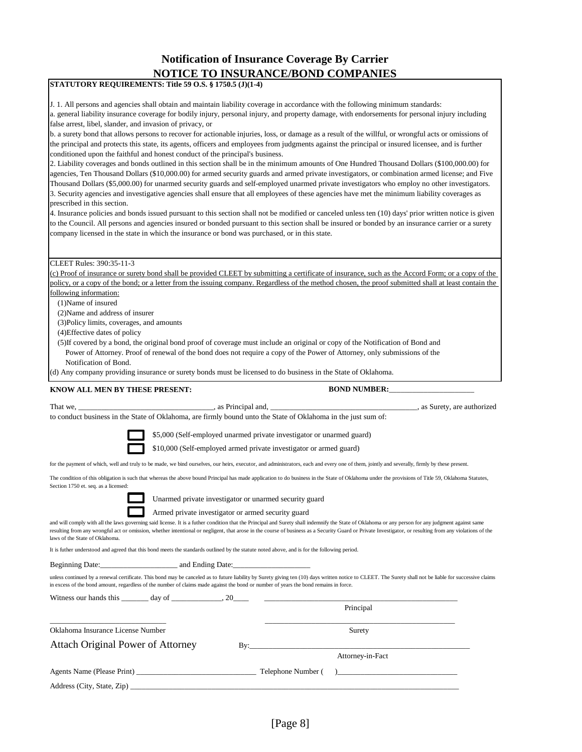# **Notification of Insurance Coverage By Carrier NOTICE TO INSURANCE/BOND COMPANIES**

|                                                                                                                                                                                                                     |                                                                                                                                                                                | <u>NOTICE TO INSURANCE/BOND COMPANIES</u>                                                                                                                                                                                                                                                                                                                                                                                                                                                                                                                                                                                                                                                                                                                                                                                                                                                                                                                                                                                                                                                                                                                                                                                                                                                                                                                                                                                                                                                                            |
|---------------------------------------------------------------------------------------------------------------------------------------------------------------------------------------------------------------------|--------------------------------------------------------------------------------------------------------------------------------------------------------------------------------|----------------------------------------------------------------------------------------------------------------------------------------------------------------------------------------------------------------------------------------------------------------------------------------------------------------------------------------------------------------------------------------------------------------------------------------------------------------------------------------------------------------------------------------------------------------------------------------------------------------------------------------------------------------------------------------------------------------------------------------------------------------------------------------------------------------------------------------------------------------------------------------------------------------------------------------------------------------------------------------------------------------------------------------------------------------------------------------------------------------------------------------------------------------------------------------------------------------------------------------------------------------------------------------------------------------------------------------------------------------------------------------------------------------------------------------------------------------------------------------------------------------------|
|                                                                                                                                                                                                                     | STATUTORY REQUIREMENTS: Title 59 O.S. § 1750.5 (J)(1-4)                                                                                                                        |                                                                                                                                                                                                                                                                                                                                                                                                                                                                                                                                                                                                                                                                                                                                                                                                                                                                                                                                                                                                                                                                                                                                                                                                                                                                                                                                                                                                                                                                                                                      |
| false arrest, libel, slander, and invasion of privacy, or<br>prescribed in this section.                                                                                                                            | conditioned upon the faithful and honest conduct of the principal's business.<br>company licensed in the state in which the insurance or bond was purchased, or in this state. | J. 1. All persons and agencies shall obtain and maintain liability coverage in accordance with the following minimum standards:<br>a. general liability insurance coverage for bodily injury, personal injury, and property damage, with endorsements for personal injury including<br>b. a surety bond that allows persons to recover for actionable injuries, loss, or damage as a result of the willful, or wrongful acts or omissions of<br>the principal and protects this state, its agents, officers and employees from judgments against the principal or insured licensee, and is further<br>2. Liability coverages and bonds outlined in this section shall be in the minimum amounts of One Hundred Thousand Dollars (\$100,000.00) for<br>agencies, Ten Thousand Dollars (\$10,000.00) for armed security guards and armed private investigators, or combination armed license; and Five<br>Thousand Dollars (\$5,000.00) for unarmed security guards and self-employed unarmed private investigators who employ no other investigators.<br>3. Security agencies and investigative agencies shall ensure that all employees of these agencies have met the minimum liability coverages as<br>4. Insurance policies and bonds issued pursuant to this section shall not be modified or canceled unless ten (10) days' prior written notice is given<br>to the Council. All persons and agencies insured or bonded pursuant to this section shall be insured or bonded by an insurance carrier or a surety |
|                                                                                                                                                                                                                     |                                                                                                                                                                                |                                                                                                                                                                                                                                                                                                                                                                                                                                                                                                                                                                                                                                                                                                                                                                                                                                                                                                                                                                                                                                                                                                                                                                                                                                                                                                                                                                                                                                                                                                                      |
| CLEET Rules: 390:35-11-3<br>following information:<br>(1) Name of insured<br>(2) Name and address of insurer<br>(3) Policy limits, coverages, and amounts<br>(4) Effective dates of policy<br>Notification of Bond. |                                                                                                                                                                                | (c) Proof of insurance or surety bond shall be provided CLEET by submitting a certificate of insurance, such as the Accord Form; or a copy of the<br>policy, or a copy of the bond; or a letter from the issuing company. Regardless of the method chosen, the proof submitted shall at least contain the<br>(5) If covered by a bond, the original bond proof of coverage must include an original or copy of the Notification of Bond and<br>Power of Attorney. Proof of renewal of the bond does not require a copy of the Power of Attorney, only submissions of the<br>(d) Any company providing insurance or surety bonds must be licensed to do business in the State of Oklahoma.                                                                                                                                                                                                                                                                                                                                                                                                                                                                                                                                                                                                                                                                                                                                                                                                                            |
|                                                                                                                                                                                                                     |                                                                                                                                                                                |                                                                                                                                                                                                                                                                                                                                                                                                                                                                                                                                                                                                                                                                                                                                                                                                                                                                                                                                                                                                                                                                                                                                                                                                                                                                                                                                                                                                                                                                                                                      |
| KNOW ALL MEN BY THESE PRESENT:                                                                                                                                                                                      |                                                                                                                                                                                | <b>BOND NUMBER:</b>                                                                                                                                                                                                                                                                                                                                                                                                                                                                                                                                                                                                                                                                                                                                                                                                                                                                                                                                                                                                                                                                                                                                                                                                                                                                                                                                                                                                                                                                                                  |
| That we, __                                                                                                                                                                                                         |                                                                                                                                                                                | _____________, as Surety, are authorized<br>to conduct business in the State of Oklahoma, are firmly bound unto the State of Oklahoma in the just sum of:<br>\$5,000 (Self-employed unarmed private investigator or unarmed guard)                                                                                                                                                                                                                                                                                                                                                                                                                                                                                                                                                                                                                                                                                                                                                                                                                                                                                                                                                                                                                                                                                                                                                                                                                                                                                   |
|                                                                                                                                                                                                                     |                                                                                                                                                                                | \$10,000 (Self-employed armed private investigator or armed guard)                                                                                                                                                                                                                                                                                                                                                                                                                                                                                                                                                                                                                                                                                                                                                                                                                                                                                                                                                                                                                                                                                                                                                                                                                                                                                                                                                                                                                                                   |
| Section 1750 et. seq. as a licensed:                                                                                                                                                                                |                                                                                                                                                                                | for the payment of which, well and truly to be made, we bind ourselves, our heirs, executor, and administrators, each and every one of them, jointly and severally, firmly by these present.<br>The condition of this obligation is such that whereas the above bound Principal has made application to do business in the State of Oklahoma under the provisions of Title 59, Oklahoma Statutes,                                                                                                                                                                                                                                                                                                                                                                                                                                                                                                                                                                                                                                                                                                                                                                                                                                                                                                                                                                                                                                                                                                                    |
|                                                                                                                                                                                                                     | Unarmed private investigator or unarmed security guard                                                                                                                         |                                                                                                                                                                                                                                                                                                                                                                                                                                                                                                                                                                                                                                                                                                                                                                                                                                                                                                                                                                                                                                                                                                                                                                                                                                                                                                                                                                                                                                                                                                                      |
| laws of the State of Oklahoma.                                                                                                                                                                                      | Armed private investigator or armed security guard                                                                                                                             | and will comply with all the laws governing said license. It is a futher condition that the Principal and Surety shall indemnify the State of Oklahoma or any person for any judgment against same<br>resulting from any wrongful act or omission, whether intentional or negligent, that arose in the course of business as a Security Guard or Private Investigator, or resulting from any violations of the                                                                                                                                                                                                                                                                                                                                                                                                                                                                                                                                                                                                                                                                                                                                                                                                                                                                                                                                                                                                                                                                                                       |
|                                                                                                                                                                                                                     |                                                                                                                                                                                | It is futher understood and agreed that this bond meets the standards outlined by the statute noted above, and is for the following period.                                                                                                                                                                                                                                                                                                                                                                                                                                                                                                                                                                                                                                                                                                                                                                                                                                                                                                                                                                                                                                                                                                                                                                                                                                                                                                                                                                          |
|                                                                                                                                                                                                                     | Beginning Date: and Ending Date:                                                                                                                                               |                                                                                                                                                                                                                                                                                                                                                                                                                                                                                                                                                                                                                                                                                                                                                                                                                                                                                                                                                                                                                                                                                                                                                                                                                                                                                                                                                                                                                                                                                                                      |
|                                                                                                                                                                                                                     | in excess of the bond amount, regardless of the number of claims made against the bond or number of years the bond remains in force.                                           | unless continued by a renewal certificate. This bond may be canceled as to future liability by Surety giving ten (10) days written notice to CLEET. The Surety shall not be liable for successive claims                                                                                                                                                                                                                                                                                                                                                                                                                                                                                                                                                                                                                                                                                                                                                                                                                                                                                                                                                                                                                                                                                                                                                                                                                                                                                                             |
|                                                                                                                                                                                                                     | Witness our hands this $\_\_\_\_$ day of $\_\_\_\_\_\_$ , 20 $\_\_\_\_$                                                                                                        | Principal                                                                                                                                                                                                                                                                                                                                                                                                                                                                                                                                                                                                                                                                                                                                                                                                                                                                                                                                                                                                                                                                                                                                                                                                                                                                                                                                                                                                                                                                                                            |
|                                                                                                                                                                                                                     |                                                                                                                                                                                |                                                                                                                                                                                                                                                                                                                                                                                                                                                                                                                                                                                                                                                                                                                                                                                                                                                                                                                                                                                                                                                                                                                                                                                                                                                                                                                                                                                                                                                                                                                      |
| Oklahoma Insurance License Number                                                                                                                                                                                   |                                                                                                                                                                                | Surety                                                                                                                                                                                                                                                                                                                                                                                                                                                                                                                                                                                                                                                                                                                                                                                                                                                                                                                                                                                                                                                                                                                                                                                                                                                                                                                                                                                                                                                                                                               |
| Attach Original Power of Attorney                                                                                                                                                                                   |                                                                                                                                                                                | Attorney-in-Fact                                                                                                                                                                                                                                                                                                                                                                                                                                                                                                                                                                                                                                                                                                                                                                                                                                                                                                                                                                                                                                                                                                                                                                                                                                                                                                                                                                                                                                                                                                     |
|                                                                                                                                                                                                                     |                                                                                                                                                                                |                                                                                                                                                                                                                                                                                                                                                                                                                                                                                                                                                                                                                                                                                                                                                                                                                                                                                                                                                                                                                                                                                                                                                                                                                                                                                                                                                                                                                                                                                                                      |
|                                                                                                                                                                                                                     |                                                                                                                                                                                | ) and the contract of the contract of $\mathcal{L}$                                                                                                                                                                                                                                                                                                                                                                                                                                                                                                                                                                                                                                                                                                                                                                                                                                                                                                                                                                                                                                                                                                                                                                                                                                                                                                                                                                                                                                                                  |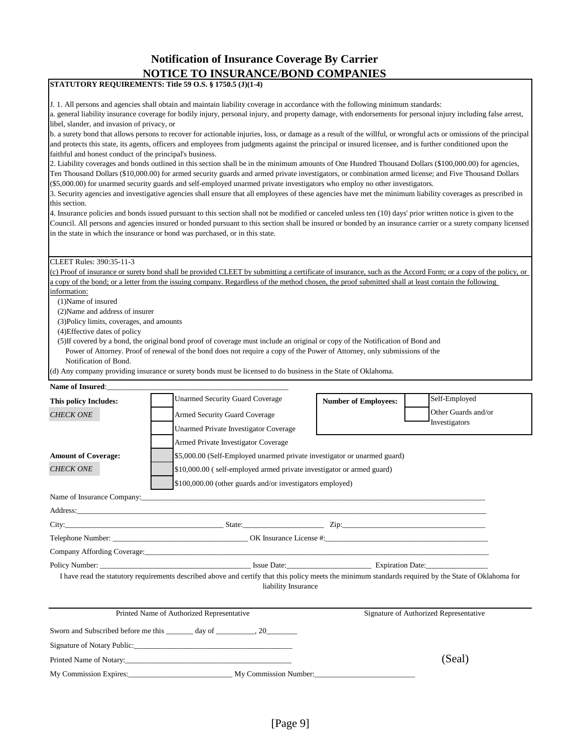## **Notification of Insurance Coverage By Carrier NOTICE TO INSURANCE/BOND COMPANIES**

### **STATUTORY REQUIREMENTS: Title 59 O.S. § 1750.5 (J)(1-4)**

J. 1. All persons and agencies shall obtain and maintain liability coverage in accordance with the following minimum standards:

a. general liability insurance coverage for bodily injury, personal injury, and property damage, with endorsements for personal injury including false arrest, libel, slander, and invasion of privacy, or

b. a surety bond that allows persons to recover for actionable injuries, loss, or damage as a result of the willful, or wrongful acts or omissions of the principal and protects this state, its agents, officers and employees from judgments against the principal or insured licensee, and is further conditioned upon the faithful and honest conduct of the principal's business.

2. Liability coverages and bonds outlined in this section shall be in the minimum amounts of One Hundred Thousand Dollars (\$100,000.00) for agencies, Ten Thousand Dollars (\$10,000.00) for armed security guards and armed private investigators, or combination armed license; and Five Thousand Dollars (\$5,000.00) for unarmed security guards and self-employed unarmed private investigators who employ no other investigators.

3. Security agencies and investigative agencies shall ensure that all employees of these agencies have met the minimum liability coverages as prescribed in this section.

4. Insurance policies and bonds issued pursuant to this section shall not be modified or canceled unless ten (10) days' prior written notice is given to the Council. All persons and agencies insured or bonded pursuant to this section shall be insured or bonded by an insurance carrier or a surety company licensed in the state in which the insurance or bond was purchased, or in this state.

#### CLEET Rules: 390:35-11-3

(c) Proof of insurance or surety bond shall be provided CLEET by submitting a certificate of insurance, such as the Accord Form; or a copy of the policy, or a copy of the bond; or a letter from the issuing company. Regardless of the method chosen, the proof submitted shall at least contain the following

information:

(1)Name of insured

(2)Name and address of insurer

(3)Policy limits, coverages, and amounts

(4)Effective dates of policy

 (5)If covered by a bond, the original bond proof of coverage must include an original or copy of the Notification of Bond and Power of Attorney. Proof of renewal of the bond does not require a copy of the Power of Attorney, only submissions of the Notification of Bond.

(d) Any company providing insurance or surety bonds must be licensed to do business in the State of Oklahoma.

#### Name of Insured:

| This policy Includes:               | <b>Unarmed Security Guard Coverage</b>                                                                                                                                       | <b>Number of Employees:</b> | Self-Employed                          |  |  |  |
|-------------------------------------|------------------------------------------------------------------------------------------------------------------------------------------------------------------------------|-----------------------------|----------------------------------------|--|--|--|
| <b>CHECK ONE</b>                    | Armed Security Guard Coverage                                                                                                                                                |                             | Other Guards and/or                    |  |  |  |
|                                     | <b>Unarmed Private Investigator Coverage</b>                                                                                                                                 |                             | Investigators                          |  |  |  |
| Armed Private Investigator Coverage |                                                                                                                                                                              |                             |                                        |  |  |  |
| <b>Amount of Coverage:</b>          | \$5,000.00 (Self-Employed unarmed private investigator or unarmed guard)                                                                                                     |                             |                                        |  |  |  |
| <b>CHECK ONE</b>                    | \$10,000.00 (self-employed armed private investigator or armed guard)                                                                                                        |                             |                                        |  |  |  |
|                                     | \$100,000.00 (other guards and/or investigators employed)                                                                                                                    |                             |                                        |  |  |  |
|                                     |                                                                                                                                                                              |                             |                                        |  |  |  |
|                                     |                                                                                                                                                                              |                             |                                        |  |  |  |
|                                     |                                                                                                                                                                              |                             |                                        |  |  |  |
|                                     |                                                                                                                                                                              |                             |                                        |  |  |  |
|                                     |                                                                                                                                                                              |                             |                                        |  |  |  |
|                                     | Policy Number: Expiration Date: Expiration Date:                                                                                                                             |                             |                                        |  |  |  |
|                                     | I have read the statutory requirements described above and certify that this policy meets the minimum standards required by the State of Oklahoma for<br>liability Insurance |                             |                                        |  |  |  |
|                                     | Printed Name of Authorized Representative                                                                                                                                    |                             | Signature of Authorized Representative |  |  |  |
|                                     | Sworn and Subscribed before me this _______ day of __________, 20_________                                                                                                   |                             |                                        |  |  |  |
|                                     | Signature of Notary Public:                                                                                                                                                  |                             |                                        |  |  |  |
|                                     | Printed Name of Notary:                                                                                                                                                      |                             | (Seal)                                 |  |  |  |
|                                     |                                                                                                                                                                              |                             |                                        |  |  |  |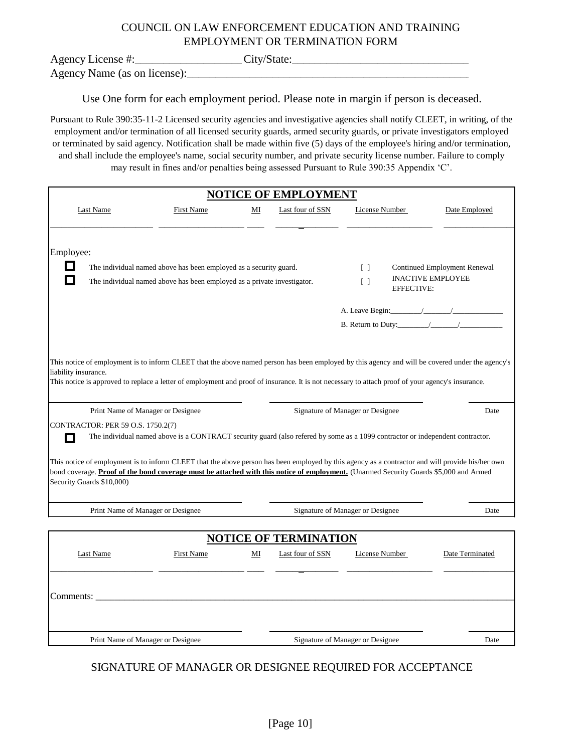# COUNCIL ON LAW ENFORCEMENT EDUCATION AND TRAINING EMPLOYMENT OR TERMINATION FORM

Agency License #:\_\_\_\_\_\_\_\_\_\_\_\_\_\_\_\_\_\_\_\_\_\_\_\_\_City/State:\_\_\_\_\_\_\_\_\_\_\_\_\_\_\_\_\_\_\_\_\_\_\_\_\_\_\_

Agency Name (as on license):\_\_\_\_\_\_\_\_\_\_\_\_\_\_\_\_\_\_\_\_\_\_\_\_\_\_\_\_\_\_\_\_\_\_\_\_\_\_\_\_\_\_\_\_\_\_\_\_\_\_\_\_\_\_

Use One form for each employment period. Please note in margin if person is deceased.

Pursuant to Rule 390:35-11-2 Licensed security agencies and investigative agencies shall notify CLEET, in writing, of the employment and/or termination of all licensed security guards, armed security guards, or private investigators employed or terminated by said agency. Notification shall be made within five (5) days of the employee's hiring and/or termination, and shall include the employee's name, social security number, and private security license number. Failure to comply may result in fines and/or penalties being assessed Pursuant to Rule 390:35 Appendix 'C'.

| <b>NOTICE OF EMPLOYMENT</b>                                                                                                                                                                                                                                                                                                                                                 |                                                                                                                                              |    |                              |                                                                                                                               |                                                                 |
|-----------------------------------------------------------------------------------------------------------------------------------------------------------------------------------------------------------------------------------------------------------------------------------------------------------------------------------------------------------------------------|----------------------------------------------------------------------------------------------------------------------------------------------|----|------------------------------|-------------------------------------------------------------------------------------------------------------------------------|-----------------------------------------------------------------|
| <b>Last Name</b>                                                                                                                                                                                                                                                                                                                                                            | First Name                                                                                                                                   | MI | Last four of SSN             | License Number                                                                                                                | Date Employed                                                   |
| Employee:<br>$\mathbf{L}$<br>$\overline{\phantom{a}}$                                                                                                                                                                                                                                                                                                                       | The individual named above has been employed as a security guard.<br>The individual named above has been employed as a private investigator. |    |                              | $\Box$<br>$\begin{bmatrix} \end{bmatrix}$<br><b>EFFECTIVE:</b>                                                                | <b>Continued Employment Renewal</b><br><b>INACTIVE EMPLOYEE</b> |
|                                                                                                                                                                                                                                                                                                                                                                             |                                                                                                                                              |    |                              |                                                                                                                               |                                                                 |
| This notice of employment is to inform CLEET that the above named person has been employed by this agency and will be covered under the agency's<br>liability insurance.<br>This notice is approved to replace a letter of employment and proof of insurance. It is not necessary to attach proof of your agency's insurance.                                               |                                                                                                                                              |    |                              |                                                                                                                               |                                                                 |
| Print Name of Manager or Designee                                                                                                                                                                                                                                                                                                                                           |                                                                                                                                              |    |                              | Signature of Manager or Designee                                                                                              | Date                                                            |
| CONTRACTOR: PER 59 O.S. 1750.2(7)<br>$\mathbf{r}$<br>This notice of employment is to inform CLEET that the above person has been employed by this agency as a contractor and will provide his/her own<br>bond coverage. Proof of the bond coverage must be attached with this notice of employment. (Unarmed Security Guards \$5,000 and Armed<br>Security Guards \$10,000) |                                                                                                                                              |    |                              | The individual named above is a CONTRACT security guard (also refered by some as a 1099 contractor or independent contractor. |                                                                 |
| Print Name of Manager or Designee                                                                                                                                                                                                                                                                                                                                           |                                                                                                                                              |    |                              | Signature of Manager or Designee                                                                                              | Date                                                            |
|                                                                                                                                                                                                                                                                                                                                                                             |                                                                                                                                              |    |                              |                                                                                                                               |                                                                 |
|                                                                                                                                                                                                                                                                                                                                                                             |                                                                                                                                              |    | <b>NOTICE OF TERMINATION</b> |                                                                                                                               |                                                                 |
| Last Name                                                                                                                                                                                                                                                                                                                                                                   | First Name                                                                                                                                   | MI | Last four of SSN             | License Number                                                                                                                | Date Terminated                                                 |
| Comments:                                                                                                                                                                                                                                                                                                                                                                   |                                                                                                                                              |    |                              |                                                                                                                               |                                                                 |
| Print Name of Manager or Designee                                                                                                                                                                                                                                                                                                                                           |                                                                                                                                              |    |                              | Signature of Manager or Designee                                                                                              | Date                                                            |

# SIGNATURE OF MANAGER OR DESIGNEE REQUIRED FOR ACCEPTANCE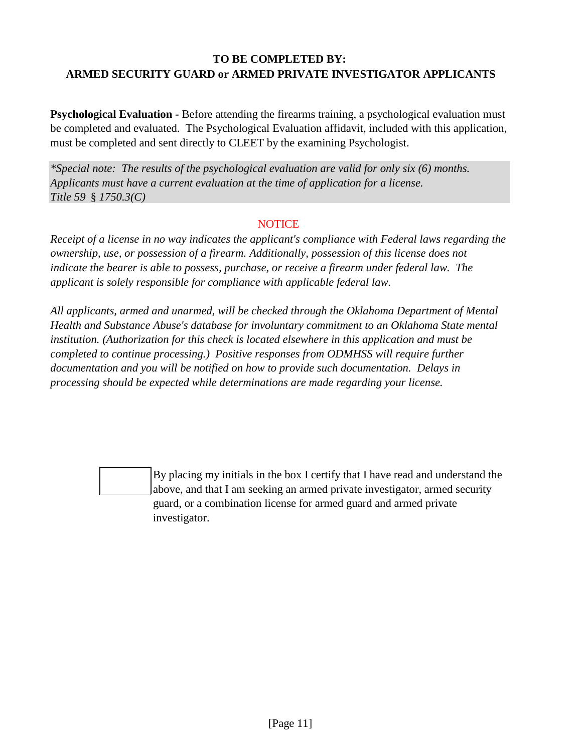# **TO BE COMPLETED BY: ARMED SECURITY GUARD or ARMED PRIVATE INVESTIGATOR APPLICANTS**

**Psychological Evaluation -** Before attending the firearms training, a psychological evaluation must be completed and evaluated. The Psychological Evaluation affidavit, included with this application, must be completed and sent directly to CLEET by the examining Psychologist.

*\*Special note: The results of the psychological evaluation are valid for only six (6) months. Applicants must have a current evaluation at the time of application for a license. Title 59* § *1750.3(C)*

### **NOTICE**

*Receipt of a license in no way indicates the applicant's compliance with Federal laws regarding the ownership, use, or possession of a firearm. Additionally, possession of this license does not*  indicate the bearer is able to possess, purchase, or receive a firearm under federal law. The *applicant is solely responsible for compliance with applicable federal law.* 

*All applicants, armed and unarmed, will be checked through the Oklahoma Department of Mental Health and Substance Abuse's database for involuntary commitment to an Oklahoma State mental institution. (Authorization for this check is located elsewhere in this application and must be completed to continue processing.) Positive responses from ODMHSS will require further documentation and you will be notified on how to provide such documentation. Delays in processing should be expected while determinations are made regarding your license.* 



By placing my initials in the box I certify that I have read and understand the above, and that I am seeking an armed private investigator, armed security guard, or a combination license for armed guard and armed private investigator.